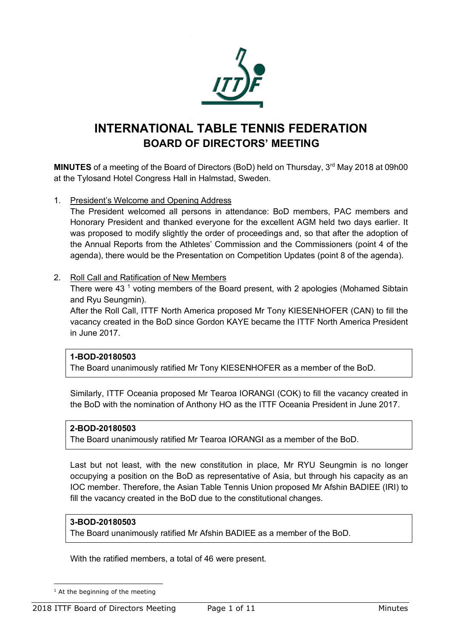

# **INTERNATIONAL TABLE TENNIS FEDERATION BOARD OF DIRECTORS' MEETING**

**MINUTES** of a meeting of the Board of Directors (BoD) held on Thursday, 3<sup>rd</sup> May 2018 at 09h00 at the Tylosand Hotel Congress Hall in Halmstad, Sweden.

1. President's Welcome and Opening Address

The President welcomed all persons in attendance: BoD members, PAC members and Honorary President and thanked everyone for the excellent AGM held two days earlier. It was proposed to modify slightly the order of proceedings and, so that after the adoption of the Annual Reports from the Athletes' Commission and the Commissioners (point 4 of the agenda), there would be the Presentation on Competition Updates (point 8 of the agenda).

## 2. Roll Call and Ratification of New Members

There were 43<sup> $1$ </sup> voting members of the Board present, with 2 apologies (Mohamed Sibtain and Ryu Seungmin).

After the Roll Call, ITTF North America proposed Mr Tony KIESENHOFER (CAN) to fill the vacancy created in the BoD since Gordon KAYE became the ITTF North America President in June 2017.

## **1-BOD-20180503**

The Board unanimously ratified Mr Tony KIESENHOFER as a member of the BoD.

Similarly, ITTF Oceania proposed Mr Tearoa IORANGI (COK) to fill the vacancy created in the BoD with the nomination of Anthony HO as the ITTF Oceania President in June 2017.

## **2-BOD-20180503**

The Board unanimously ratified Mr Tearoa IORANGI as a member of the BoD.

Last but not least, with the new constitution in place, Mr RYU Seungmin is no longer occupying a position on the BoD as representative of Asia, but through his capacity as an IOC member. Therefore, the Asian Table Tennis Union proposed Mr Afshin BADIEE (IRI) to fill the vacancy created in the BoD due to the constitutional changes.

## **3-BOD-20180503**

The Board unanimously ratified Mr Afshin BADIEE as a member of the BoD.

With the ratified members, a total of 46 were present.

 $<sup>1</sup>$  At the beginning of the meeting</sup>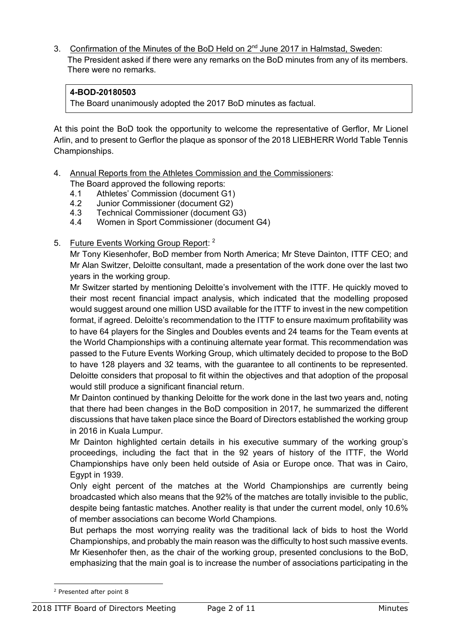3. Confirmation of the Minutes of the BoD Held on  $2<sup>nd</sup>$  June 2017 in Halmstad, Sweden: The President asked if there were any remarks on the BoD minutes from any of its members. There were no remarks.

## **4-BOD-20180503**

The Board unanimously adopted the 2017 BoD minutes as factual.

At this point the BoD took the opportunity to welcome the representative of Gerflor, Mr Lionel Arlin, and to present to Gerflor the plaque as sponsor of the 2018 LIEBHERR World Table Tennis Championships.

- 4. Annual Reports from the Athletes Commission and the Commissioners:
	- The Board approved the following reports:
	- 4.1 Athletes' Commission (document G1)
	- 4.2 Junior Commissioner (document G2)
	- 4.3 Technical Commissioner (document G3)
	- 4.4 Women in Sport Commissioner (document G4)
- 5. Future Events Working Group Report: <sup>2</sup>

Mr Tony Kiesenhofer, BoD member from North America; Mr Steve Dainton, ITTF CEO; and Mr Alan Switzer, Deloitte consultant, made a presentation of the work done over the last two years in the working group.

Mr Switzer started by mentioning Deloitte's involvement with the ITTF. He quickly moved to their most recent financial impact analysis, which indicated that the modelling proposed would suggest around one million USD available for the ITTF to invest in the new competition format, if agreed. Deloitte's recommendation to the ITTF to ensure maximum profitability was to have 64 players for the Singles and Doubles events and 24 teams for the Team events at the World Championships with a continuing alternate year format. This recommendation was passed to the Future Events Working Group, which ultimately decided to propose to the BoD to have 128 players and 32 teams, with the guarantee to all continents to be represented. Deloitte considers that proposal to fit within the objectives and that adoption of the proposal would still produce a significant financial return.

Mr Dainton continued by thanking Deloitte for the work done in the last two years and, noting that there had been changes in the BoD composition in 2017, he summarized the different discussions that have taken place since the Board of Directors established the working group in 2016 in Kuala Lumpur.

Mr Dainton highlighted certain details in his executive summary of the working group's proceedings, including the fact that in the 92 years of history of the ITTF, the World Championships have only been held outside of Asia or Europe once. That was in Cairo, Egypt in 1939.

Only eight percent of the matches at the World Championships are currently being broadcasted which also means that the 92% of the matches are totally invisible to the public, despite being fantastic matches. Another reality is that under the current model, only 10.6% of member associations can become World Champions.

But perhaps the most worrying reality was the traditional lack of bids to host the World Championships, and probably the main reason was the difficulty to host such massive events. Mr Kiesenhofer then, as the chair of the working group, presented conclusions to the BoD, emphasizing that the main goal is to increase the number of associations participating in the

<sup>2</sup> Presented after point 8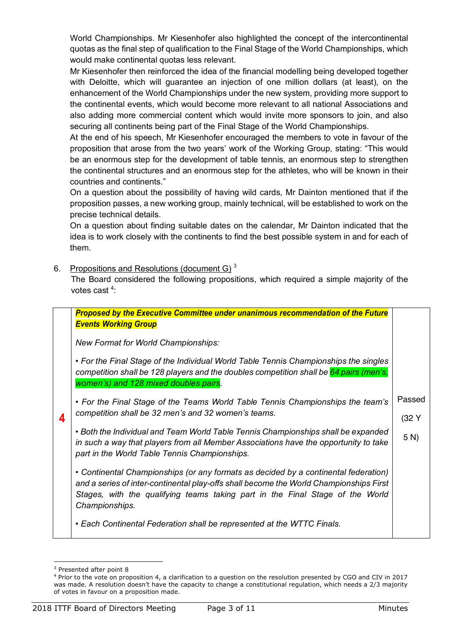World Championships. Mr Kiesenhofer also highlighted the concept of the intercontinental quotas as the final step of qualification to the Final Stage of the World Championships, which would make continental quotas less relevant.

Mr Kiesenhofer then reinforced the idea of the financial modelling being developed together with Deloitte, which will guarantee an injection of one million dollars (at least), on the enhancement of the World Championships under the new system, providing more support to the continental events, which would become more relevant to all national Associations and also adding more commercial content which would invite more sponsors to join, and also securing all continents being part of the Final Stage of the World Championships.

At the end of his speech, Mr Kiesenhofer encouraged the members to vote in favour of the proposition that arose from the two years' work of the Working Group, stating: "This would be an enormous step for the development of table tennis, an enormous step to strengthen the continental structures and an enormous step for the athletes, who will be known in their countries and continents."

On a question about the possibility of having wild cards, Mr Dainton mentioned that if the proposition passes, a new working group, mainly technical, will be established to work on the precise technical details.

On a question about finding suitable dates on the calendar, Mr Dainton indicated that the idea is to work closely with the continents to find the best possible system in and for each of them.

6. Propositions and Resolutions (document G)  $3$ 

The Board considered the following propositions, which required a simple majority of the votes cast<sup>4</sup>:

|   | <b>Proposed by the Executive Committee under unanimous recommendation of the Future</b><br><b>Events Working Group</b>                                                                                                                                                           |          |
|---|----------------------------------------------------------------------------------------------------------------------------------------------------------------------------------------------------------------------------------------------------------------------------------|----------|
|   | <b>New Format for World Championships:</b>                                                                                                                                                                                                                                       |          |
|   | • For the Final Stage of the Individual World Table Tennis Championships the singles<br>competition shall be 128 players and the doubles competition shall be 64 pairs (men's,<br>women's) and 128 mixed doubles pairs.                                                          |          |
|   | • For the Final Stage of the Teams World Table Tennis Championships the team's                                                                                                                                                                                                   | Passed   |
| 4 | competition shall be 32 men's and 32 women's teams.                                                                                                                                                                                                                              | $(32)$ Y |
|   | • Both the Individual and Team World Table Tennis Championships shall be expanded<br>in such a way that players from all Member Associations have the opportunity to take<br>part in the World Table Tennis Championships.                                                       | 5 N      |
|   | • Continental Championships (or any formats as decided by a continental federation)<br>and a series of inter-continental play-offs shall become the World Championships First<br>Stages, with the qualifying teams taking part in the Final Stage of the World<br>Championships. |          |
|   | • Each Continental Federation shall be represented at the WTTC Finals.                                                                                                                                                                                                           |          |

l <sup>3</sup> Presented after point 8

<sup>4</sup> Prior to the vote on proposition 4, a clarification to a question on the resolution presented by CGO and CIV in 2017 was made. A resolution doesn't have the capacity to change a constitutional regulation, which needs a 2/3 majority of votes in favour on a proposition made.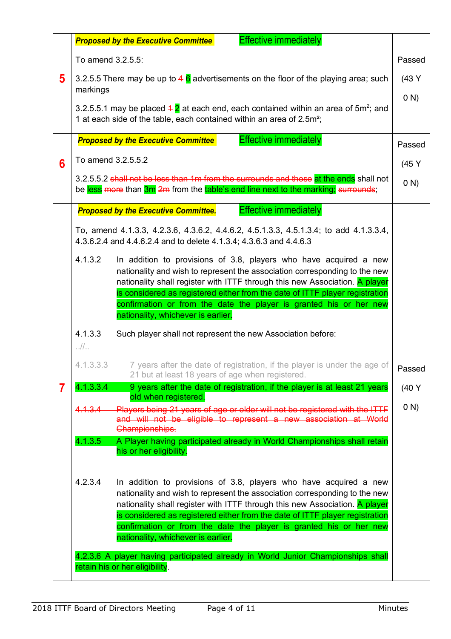|   |                                                                                                                                                    | <b>Effective immediately</b><br><b>Proposed by the Executive Committee</b>                                                                                                                                                                                                                                                                                                                                                 |        |
|---|----------------------------------------------------------------------------------------------------------------------------------------------------|----------------------------------------------------------------------------------------------------------------------------------------------------------------------------------------------------------------------------------------------------------------------------------------------------------------------------------------------------------------------------------------------------------------------------|--------|
|   | To amend 3.2.5.5:                                                                                                                                  |                                                                                                                                                                                                                                                                                                                                                                                                                            | Passed |
| 5 | markings                                                                                                                                           | 3.2.5.5 There may be up to 4 $\overline{6}$ advertisements on the floor of the playing area; such                                                                                                                                                                                                                                                                                                                          | (43 Y) |
|   |                                                                                                                                                    | 3.2.5.5.1 may be placed $4\overline{2}$ at each end, each contained within an area of 5m <sup>2</sup> ; and<br>1 at each side of the table, each contained within an area of 2.5m <sup>2</sup> ;                                                                                                                                                                                                                           | (0 N)  |
|   |                                                                                                                                                    | <b>Effective immediately</b><br><b>Proposed by the Executive Committee</b>                                                                                                                                                                                                                                                                                                                                                 | Passed |
| 6 | To amend 3.2.5.5.2                                                                                                                                 |                                                                                                                                                                                                                                                                                                                                                                                                                            | (45 Y  |
|   |                                                                                                                                                    | 3.2.5.5.2 shall not be less than 1m from the surrounds and those at the ends shall not<br>be less more than 3m 2m from the table's end line next to the marking; surrounds;                                                                                                                                                                                                                                                | (0 N)  |
|   |                                                                                                                                                    | <b>Effective immediately</b><br><b>Proposed by the Executive Committee.</b>                                                                                                                                                                                                                                                                                                                                                |        |
|   |                                                                                                                                                    | To, amend 4.1.3.3, 4.2.3.6, 4.3.6.2, 4.4.6.2, 4.5.1.3.3, 4.5.1.3.4; to add 4.1.3.3.4,<br>4.3.6.2.4 and 4.4.6.2.4 and to delete 4.1.3.4; 4.3.6.3 and 4.4.6.3                                                                                                                                                                                                                                                                |        |
|   | 4.1.3.2                                                                                                                                            | In addition to provisions of 3.8, players who have acquired a new<br>nationality and wish to represent the association corresponding to the new<br>nationality shall register with ITTF through this new Association. A player                                                                                                                                                                                             |        |
|   | is considered as registered either from the date of ITTF player registration<br>confirmation or from the date the player is granted his or her new |                                                                                                                                                                                                                                                                                                                                                                                                                            |        |
|   | nationality, whichever is earlier.                                                                                                                 |                                                                                                                                                                                                                                                                                                                                                                                                                            |        |
|   | 4.1.3.3<br>$\frac{1}{2}$                                                                                                                           | Such player shall not represent the new Association before:                                                                                                                                                                                                                                                                                                                                                                |        |
|   | 4.1.3.3.3                                                                                                                                          | 7 years after the date of registration, if the player is under the age of<br>21 but at least 18 years of age when registered.                                                                                                                                                                                                                                                                                              | Passed |
| 7 | 4.1.3.3.4                                                                                                                                          | 9 years after the date of registration, if the player is at least 21 years<br>old when registered.                                                                                                                                                                                                                                                                                                                         | (40 Y) |
|   | 4.1.3.4                                                                                                                                            | Players being 21 years of age or older will not be registered with the ITTF<br>and will not be eligible to represent a new association at World<br>Championships.                                                                                                                                                                                                                                                          | (0 N)  |
|   | 4.1.3.5                                                                                                                                            | A Player having participated already in World Championships shall retain<br>his or her eligibility.                                                                                                                                                                                                                                                                                                                        |        |
|   | 4.2.3.4                                                                                                                                            | In addition to provisions of 3.8, players who have acquired a new<br>nationality and wish to represent the association corresponding to the new<br>nationality shall register with ITTF through this new Association. A player<br>is considered as registered either from the date of ITTF player registration<br>confirmation or from the date the player is granted his or her new<br>nationality, whichever is earlier. |        |
|   | 4.2.3.6 A player having participated already in World Junior Championships shall                                                                   |                                                                                                                                                                                                                                                                                                                                                                                                                            |        |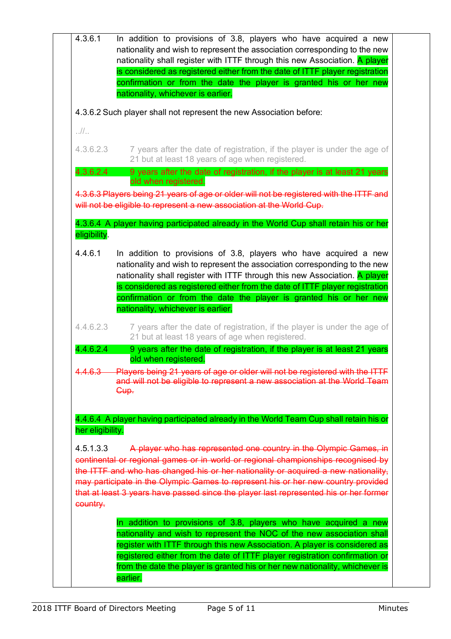|                                           | nationality and wish to represent the association corresponding to the new<br>nationality shall register with ITTF through this new Association. A player<br>is considered as registered either from the date of ITTF player registration<br>confirmation or from the date the player is granted his or her new                                                                                                            |
|-------------------------------------------|----------------------------------------------------------------------------------------------------------------------------------------------------------------------------------------------------------------------------------------------------------------------------------------------------------------------------------------------------------------------------------------------------------------------------|
|                                           | nationality, whichever is earlier.                                                                                                                                                                                                                                                                                                                                                                                         |
|                                           | 4.3.6.2 Such player shall not represent the new Association before:                                                                                                                                                                                                                                                                                                                                                        |
| . 11.                                     |                                                                                                                                                                                                                                                                                                                                                                                                                            |
| 4.3.6.2.3                                 | 7 years after the date of registration, if the player is under the age of<br>21 but at least 18 years of age when registered.                                                                                                                                                                                                                                                                                              |
| 4.3.6.2.4                                 | 9 years after the date of registration, if the player is at least 21 years<br>old when registered.                                                                                                                                                                                                                                                                                                                         |
|                                           | 4.3.6.3 Players being 21 years of age or older will not be registered with the ITTF and<br>will not be eligible to represent a new association at the World Cup.<br>4.3.6.4 A player having participated already in the World Cup shall retain his or her                                                                                                                                                                  |
| eligibility.                              |                                                                                                                                                                                                                                                                                                                                                                                                                            |
| 4.4.6.1                                   | In addition to provisions of 3.8, players who have acquired a new<br>nationality and wish to represent the association corresponding to the new<br>nationality shall register with ITTF through this new Association. A player                                                                                                                                                                                             |
|                                           | is considered as registered either from the date of ITTF player registration<br>confirmation or from the date the player is granted his or her new                                                                                                                                                                                                                                                                         |
|                                           | nationality, whichever is earlier.                                                                                                                                                                                                                                                                                                                                                                                         |
| 4.4.6.2.3                                 | 7 years after the date of registration, if the player is under the age of<br>21 but at least 18 years of age when registered.                                                                                                                                                                                                                                                                                              |
| 4.4.6.2.4                                 | 9 years after the date of registration, if the player is at least 21 years<br>old when registered.                                                                                                                                                                                                                                                                                                                         |
| 4.4.6.3                                   | Players being 21 years of age or older will not be registered with the ITTF<br>and will not be eligible to represent a new association at the World Team                                                                                                                                                                                                                                                                   |
|                                           | Cup.                                                                                                                                                                                                                                                                                                                                                                                                                       |
|                                           | 4.4.6.4 A player having participated already in the World Team Cup shall retain his or                                                                                                                                                                                                                                                                                                                                     |
| her eligibility.<br>4.5.1.3.3<br>country. | A player who has represented one country in the Olympic Games, in<br>continental or regional games or in world or regional championships recognised by<br>the ITTF and who has changed his or her nationality or acquired a new nationality.<br>may participate in the Olympic Games to represent his or her new country provided<br>that at least 3 years have passed since the player last represented his or her former |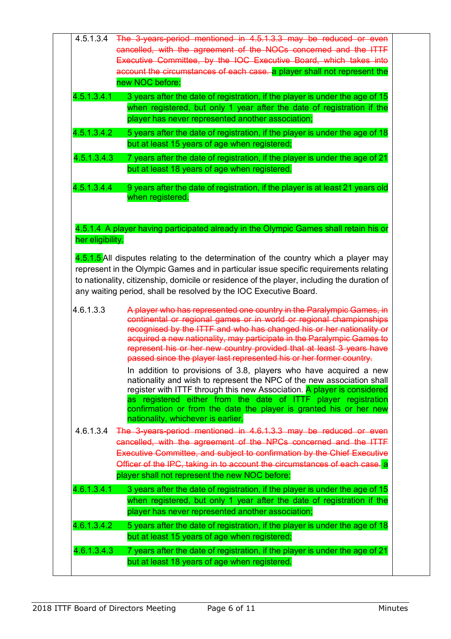| 4.5.1.3.4                             |                                                                                                                                                                                                                                                                                               |
|---------------------------------------|-----------------------------------------------------------------------------------------------------------------------------------------------------------------------------------------------------------------------------------------------------------------------------------------------|
|                                       | cancelled, with the agreement of the NOCs concerned and the ITTF                                                                                                                                                                                                                              |
|                                       | Executive Committee, by the IOC Executive Board, which takes into                                                                                                                                                                                                                             |
|                                       | account the circumstances of each case. a player shall not represent the                                                                                                                                                                                                                      |
|                                       | new NOC before:                                                                                                                                                                                                                                                                               |
| 4.5.1.3.4.1                           | 3 years after the date of registration, if the player is under the age of 15                                                                                                                                                                                                                  |
|                                       | when registered, but only 1 year after the date of registration if the                                                                                                                                                                                                                        |
|                                       | player has never represented another association;                                                                                                                                                                                                                                             |
| 4.5.1.3.4.2                           | 5 years after the date of registration, if the player is under the age of 18                                                                                                                                                                                                                  |
|                                       | but at least 15 years of age when registered;                                                                                                                                                                                                                                                 |
| 4.5.1.3.4.3                           | 7 years after the date of registration, if the player is under the age of 21                                                                                                                                                                                                                  |
|                                       | but at least 18 years of age when registered.                                                                                                                                                                                                                                                 |
|                                       |                                                                                                                                                                                                                                                                                               |
| 4.5.1.3.4.4                           | 9 years after the date of registration, if the player is at least 21 years old                                                                                                                                                                                                                |
|                                       | when registered.                                                                                                                                                                                                                                                                              |
|                                       |                                                                                                                                                                                                                                                                                               |
|                                       | 4.5.1.4 A player having participated already in the Olympic Games shall retain his or                                                                                                                                                                                                         |
| her eligibility.                      |                                                                                                                                                                                                                                                                                               |
|                                       |                                                                                                                                                                                                                                                                                               |
|                                       | 4.5.1.5 All disputes relating to the determination of the country which a player may                                                                                                                                                                                                          |
|                                       | represent in the Olympic Games and in particular issue specific requirements relating                                                                                                                                                                                                         |
|                                       | to nationality, citizenship, domicile or residence of the player, including the duration of<br>any waiting period, shall be resolved by the IOC Executive Board.                                                                                                                              |
|                                       | A player who has represented one country in the Paralympic Games, in                                                                                                                                                                                                                          |
|                                       | continental or regional games or in world or regional championships<br>recognised by the ITTF and who has changed his or her nationality or<br>acquired a new nationality, may participate in the Paralympic Games to<br>represent his or her new country provided that at least 3 years have |
|                                       | passed since the player last represented his or her former country.                                                                                                                                                                                                                           |
|                                       | In addition to provisions of 3.8, players who have acquired a new<br>nationality and wish to represent the NPC of the new association shall                                                                                                                                                   |
|                                       | register with ITTF through this new Association. A player is considered                                                                                                                                                                                                                       |
|                                       | as registered either from the date of ITTF player registration<br>confirmation or from the date the player is granted his or her new<br>nationality, whichever is earlier.                                                                                                                    |
|                                       | The 3-years-period mentioned in 4.6.1.3.3 may be reduced or even                                                                                                                                                                                                                              |
|                                       | cancelled, with the agreement of the NPCs concerned and the ITTF                                                                                                                                                                                                                              |
|                                       | Executive Committee, and subject to confirmation by the Chief Executive                                                                                                                                                                                                                       |
|                                       | Officer of the IPC, taking in to account the circumstances of each case. a                                                                                                                                                                                                                    |
|                                       | player shall not represent the new NOC before:                                                                                                                                                                                                                                                |
|                                       |                                                                                                                                                                                                                                                                                               |
|                                       | 3 years after the date of registration, if the player is under the age of 15                                                                                                                                                                                                                  |
|                                       | when registered, but only 1 year after the date of registration if the                                                                                                                                                                                                                        |
| 4.6.1.3.3<br>4.6.1.3.4<br>4.6.1.3.4.1 | player has never represented another association;                                                                                                                                                                                                                                             |
| 4.6.1.3.4.2                           | 5 years after the date of registration, if the player is under the age of 18                                                                                                                                                                                                                  |
| 4.6.1.3.4.3                           | but at least 15 years of age when registered;<br>7 years after the date of registration, if the player is under the age of 21                                                                                                                                                                 |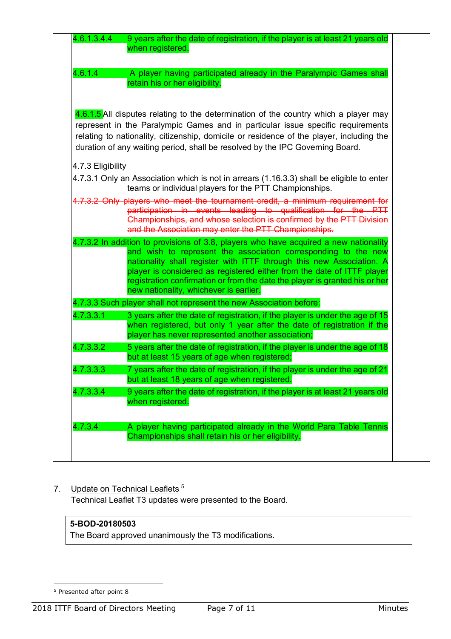| 4.6.1.4           | A player having participated already in the Paralympic Games shall<br>retain his or her eligibility.                                                                                                                                                                                                                                                                                                                               |
|-------------------|------------------------------------------------------------------------------------------------------------------------------------------------------------------------------------------------------------------------------------------------------------------------------------------------------------------------------------------------------------------------------------------------------------------------------------|
|                   | 4.6.1.5 All disputes relating to the determination of the country which a player may<br>represent in the Paralympic Games and in particular issue specific requirements<br>relating to nationality, citizenship, domicile or residence of the player, including the<br>duration of any waiting period, shall be resolved by the IPC Governing Board.                                                                               |
| 4.7.3 Eligibility | 4.7.3.1 Only an Association which is not in arrears (1.16.3.3) shall be eligible to enter                                                                                                                                                                                                                                                                                                                                          |
|                   | teams or individual players for the PTT Championships.<br>4.7.3.2 Only players who meet the tournament credit, a minimum requirement for<br>participation in events leading to qualification for the PTT<br>Championships, and whose selection is confirmed by the PTT Division<br>and the Association may enter the PTT Championships.                                                                                            |
|                   | 4.7.3.2 In addition to provisions of 3.8, players who have acquired a new nationality<br>and wish to represent the association corresponding to the new<br>nationality shall register with ITTF through this new Association. A<br>player is considered as registered either from the date of ITTF player<br>registration confirmation or from the date the player is granted his or her<br>new nationality, whichever is earlier. |
|                   | 4.7.3.3 Such player shall not represent the new Association before:                                                                                                                                                                                                                                                                                                                                                                |
| 4.7.3.3.1         | 3 years after the date of registration, if the player is under the age of 15<br>when registered, but only 1 year after the date of registration if the<br>player has never represented another association;                                                                                                                                                                                                                        |
| 4.7.3.3.2         | 5 years after the date of registration, if the player is under the age of 18<br>but at least 15 years of age when registered;                                                                                                                                                                                                                                                                                                      |
| 4.7.3.3.3         | 7 years after the date of registration, if the player is under the age of 21<br>but at least 18 years of age when registered.                                                                                                                                                                                                                                                                                                      |
| 4.7.3.3.4         | 9 years after the date of registration, if the player is at least 21 years old                                                                                                                                                                                                                                                                                                                                                     |

## 7. Update on Technical Leaflets<sup>5</sup> Technical Leaflet T3 updates were presented to the Board.

## **5-BOD-20180503**

The Board approved unanimously the T3 modifications.

<sup>&</sup>lt;sup>5</sup> Presented after point 8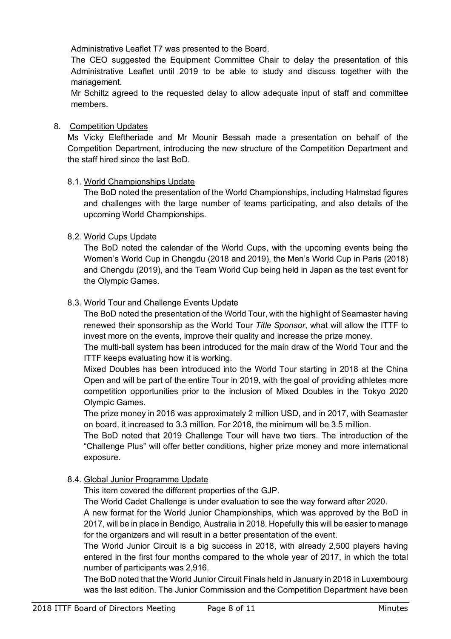Administrative Leaflet T7 was presented to the Board.

The CEO suggested the Equipment Committee Chair to delay the presentation of this Administrative Leaflet until 2019 to be able to study and discuss together with the management.

Mr Schiltz agreed to the requested delay to allow adequate input of staff and committee members.

## 8. Competition Updates

Ms Vicky Eleftheriade and Mr Mounir Bessah made a presentation on behalf of the Competition Department, introducing the new structure of the Competition Department and the staff hired since the last BoD.

## 8.1. World Championships Update

The BoD noted the presentation of the World Championships, including Halmstad figures and challenges with the large number of teams participating, and also details of the upcoming World Championships.

## 8.2. World Cups Update

The BoD noted the calendar of the World Cups, with the upcoming events being the Women's World Cup in Chengdu (2018 and 2019), the Men's World Cup in Paris (2018) and Chengdu (2019), and the Team World Cup being held in Japan as the test event for the Olympic Games.

## 8.3. World Tour and Challenge Events Update

The BoD noted the presentation of the World Tour, with the highlight of Seamaster having renewed their sponsorship as the World Tour *Title Sponsor*, what will allow the ITTF to invest more on the events, improve their quality and increase the prize money.

The multi-ball system has been introduced for the main draw of the World Tour and the ITTF keeps evaluating how it is working.

Mixed Doubles has been introduced into the World Tour starting in 2018 at the China Open and will be part of the entire Tour in 2019, with the goal of providing athletes more competition opportunities prior to the inclusion of Mixed Doubles in the Tokyo 2020 Olympic Games.

The prize money in 2016 was approximately 2 million USD, and in 2017, with Seamaster on board, it increased to 3.3 million. For 2018, the minimum will be 3.5 million.

The BoD noted that 2019 Challenge Tour will have two tiers. The introduction of the "Challenge Plus" will offer better conditions, higher prize money and more international exposure.

## 8.4. Global Junior Programme Update

This item covered the different properties of the GJP.

The World Cadet Challenge is under evaluation to see the way forward after 2020.

A new format for the World Junior Championships, which was approved by the BoD in 2017, will be in place in Bendigo, Australia in 2018. Hopefully this will be easier to manage for the organizers and will result in a better presentation of the event.

The World Junior Circuit is a big success in 2018, with already 2,500 players having entered in the first four months compared to the whole year of 2017, in which the total number of participants was 2,916.

The BoD noted that the World Junior Circuit Finals held in January in 2018 in Luxembourg was the last edition. The Junior Commission and the Competition Department have been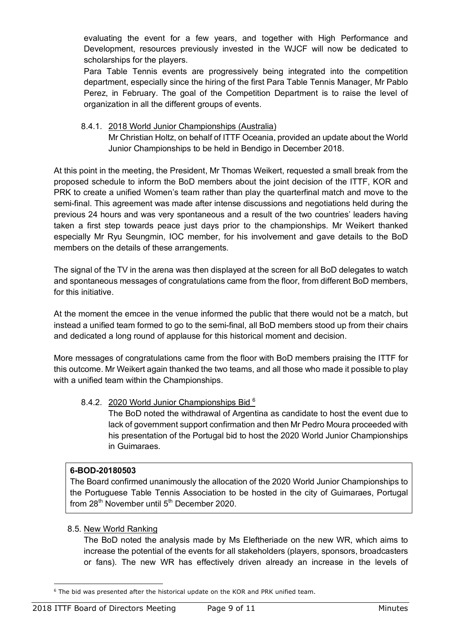evaluating the event for a few years, and together with High Performance and Development, resources previously invested in the WJCF will now be dedicated to scholarships for the players.

Para Table Tennis events are progressively being integrated into the competition department, especially since the hiring of the first Para Table Tennis Manager, Mr Pablo Perez, in February. The goal of the Competition Department is to raise the level of organization in all the different groups of events.

8.4.1. 2018 World Junior Championships (Australia) Mr Christian Holtz, on behalf of ITTF Oceania, provided an update about the World Junior Championships to be held in Bendigo in December 2018.

At this point in the meeting, the President, Mr Thomas Weikert, requested a small break from the proposed schedule to inform the BoD members about the joint decision of the ITTF, KOR and PRK to create a unified Women's team rather than play the quarterfinal match and move to the semi-final. This agreement was made after intense discussions and negotiations held during the previous 24 hours and was very spontaneous and a result of the two countries' leaders having taken a first step towards peace just days prior to the championships. Mr Weikert thanked especially Mr Ryu Seungmin, IOC member, for his involvement and gave details to the BoD members on the details of these arrangements.

The signal of the TV in the arena was then displayed at the screen for all BoD delegates to watch and spontaneous messages of congratulations came from the floor, from different BoD members, for this initiative.

At the moment the emcee in the venue informed the public that there would not be a match, but instead a unified team formed to go to the semi-final, all BoD members stood up from their chairs and dedicated a long round of applause for this historical moment and decision.

More messages of congratulations came from the floor with BoD members praising the ITTF for this outcome. Mr Weikert again thanked the two teams, and all those who made it possible to play with a unified team within the Championships.

## 8.4.2. 2020 World Junior Championships Bid <sup>6</sup>

The BoD noted the withdrawal of Argentina as candidate to host the event due to lack of government support confirmation and then Mr Pedro Moura proceeded with his presentation of the Portugal bid to host the 2020 World Junior Championships in Guimaraes.

## **6-BOD-20180503**

The Board confirmed unanimously the allocation of the 2020 World Junior Championships to the Portuguese Table Tennis Association to be hosted in the city of Guimaraes, Portugal from  $28<sup>th</sup>$  November until  $5<sup>th</sup>$  December 2020.

## 8.5. New World Ranking

The BoD noted the analysis made by Ms Eleftheriade on the new WR, which aims to increase the potential of the events for all stakeholders (players, sponsors, broadcasters or fans). The new WR has effectively driven already an increase in the levels of

<sup>6</sup> The bid was presented after the historical update on the KOR and PRK unified team.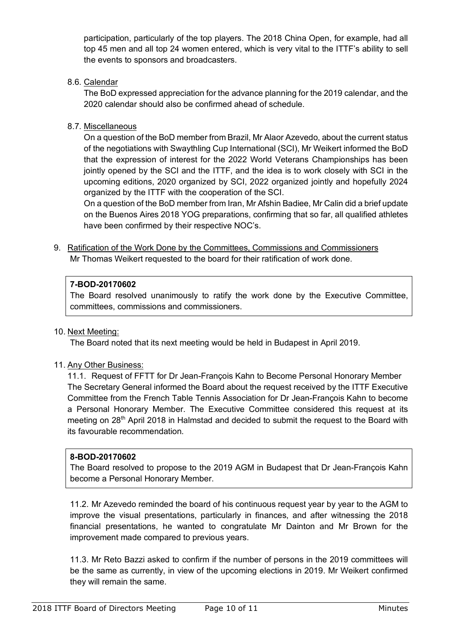participation, particularly of the top players. The 2018 China Open, for example, had all top 45 men and all top 24 women entered, which is very vital to the ITTF's ability to sell the events to sponsors and broadcasters.

8.6. Calendar

The BoD expressed appreciation for the advance planning for the 2019 calendar, and the 2020 calendar should also be confirmed ahead of schedule.

8.7. Miscellaneous

On a question of the BoD member from Brazil, Mr Alaor Azevedo, about the current status of the negotiations with Swaythling Cup International (SCI), Mr Weikert informed the BoD that the expression of interest for the 2022 World Veterans Championships has been jointly opened by the SCI and the ITTF, and the idea is to work closely with SCI in the upcoming editions, 2020 organized by SCI, 2022 organized jointly and hopefully 2024 organized by the ITTF with the cooperation of the SCI.

On a question of the BoD member from Iran, Mr Afshin Badiee, Mr Calin did a brief update on the Buenos Aires 2018 YOG preparations, confirming that so far, all qualified athletes have been confirmed by their respective NOC's.

9. Ratification of the Work Done by the Committees, Commissions and Commissioners Mr Thomas Weikert requested to the board for their ratification of work done.

## **7-BOD-20170602**

The Board resolved unanimously to ratify the work done by the Executive Committee, committees, commissions and commissioners.

## 10. Next Meeting:

The Board noted that its next meeting would be held in Budapest in April 2019.

## 11. Any Other Business:

11.1. Request of FFTT for Dr Jean-François Kahn to Become Personal Honorary Member The Secretary General informed the Board about the request received by the ITTF Executive Committee from the French Table Tennis Association for Dr Jean-François Kahn to become a Personal Honorary Member. The Executive Committee considered this request at its meeting on 28<sup>th</sup> April 2018 in Halmstad and decided to submit the request to the Board with its favourable recommendation.

## **8-BOD-20170602**

The Board resolved to propose to the 2019 AGM in Budapest that Dr Jean-François Kahn become a Personal Honorary Member.

11.2. Mr Azevedo reminded the board of his continuous request year by year to the AGM to improve the visual presentations, particularly in finances, and after witnessing the 2018 financial presentations, he wanted to congratulate Mr Dainton and Mr Brown for the improvement made compared to previous years.

11.3. Mr Reto Bazzi asked to confirm if the number of persons in the 2019 committees will be the same as currently, in view of the upcoming elections in 2019. Mr Weikert confirmed they will remain the same.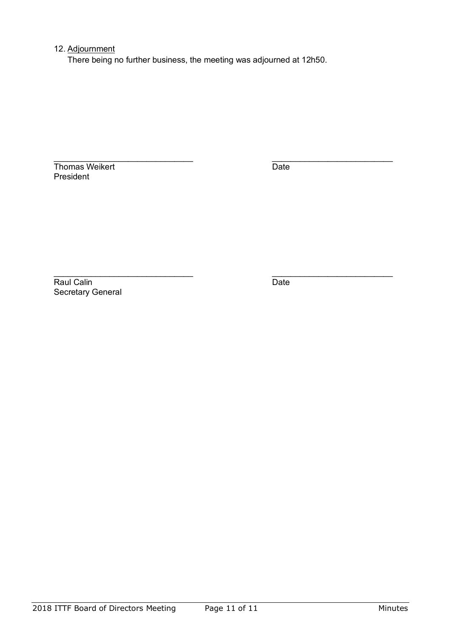## 12. Adjournment

There being no further business, the meeting was adjourned at 12h50.

Thomas Weikert Date President

\_\_\_\_\_\_\_\_\_\_\_\_\_\_\_\_\_\_\_\_\_\_\_\_\_\_\_\_\_\_ \_\_\_\_\_\_\_\_\_\_\_\_\_\_\_\_\_\_\_\_\_\_\_\_\_\_

Raul Calin Date Secretary General

\_\_\_\_\_\_\_\_\_\_\_\_\_\_\_\_\_\_\_\_\_\_\_\_\_\_\_\_\_\_ \_\_\_\_\_\_\_\_\_\_\_\_\_\_\_\_\_\_\_\_\_\_\_\_\_\_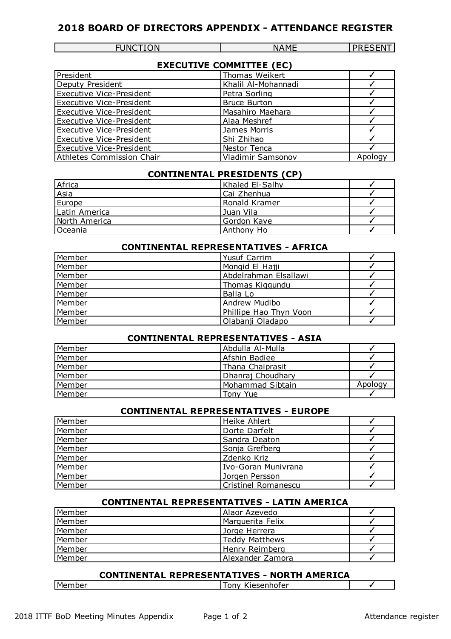## **2018 BOARD OF DIRECTORS APPENDIX - ATTENDANCE REGISTER**

| <b>INCTION</b><br>∼ | \I A ME<br>NΔ | -----<br>---<br>'NI |
|---------------------|---------------|---------------------|
|                     |               |                     |

| <b>EXECUTIVE COMMITTEE (EC)</b> |  |  |
|---------------------------------|--|--|
|---------------------------------|--|--|

| President                       | Thomas Weikert      |         |
|---------------------------------|---------------------|---------|
| Deputy President                | Khalil Al-Mohannadi |         |
| <b>Executive Vice-President</b> | Petra Sorling       |         |
| <b>Executive Vice-President</b> | <b>Bruce Burton</b> |         |
| <b>Executive Vice-President</b> | Masahiro Maehara    |         |
| <b>Executive Vice-President</b> | Alaa Meshref        |         |
| <b>Executive Vice-President</b> | James Morris        |         |
| <b>Executive Vice-President</b> | Shi Zhihao          |         |
| <b>Executive Vice-President</b> | Nestor Tenca        |         |
| Athletes Commission Chair       | Vladimir Samsonov   | Apology |

#### **CONTINENTAL PRESIDENTS (CP)**

| Africa        | Khaled El-Salhy |  |
|---------------|-----------------|--|
| Asia          | Cai Zhenhua     |  |
| Europe        | Ronald Kramer   |  |
| Latin America | Juan Vila       |  |
| North America | Gordon Kaye     |  |
| Oceania       | Anthony Ho      |  |

## **CONTINENTAL REPRESENTATIVES - AFRICA**

| Member | Yusuf Carrim           |  |
|--------|------------------------|--|
| Member | Mongid El Hajji        |  |
| Member | Abdelrahman Elsallawi  |  |
| Member | Thomas Kiggundu        |  |
| Member | Balla Lo               |  |
| Member | Andrew Mudibo          |  |
| Member | Phillipe Hao Thyn Voon |  |
| Member | Olabanji Oladapo       |  |

## **CONTINENTAL REPRESENTATIVES - ASIA**

| Member | Abdulla Al-Mulla  |         |
|--------|-------------------|---------|
| Member | Afshin Badiee     |         |
| Member | Thana Chaiprasit  |         |
| Member | Dhanraj Choudhary |         |
| Member | Mohammad Sibtain  | Apology |
| Member | Tony Yue          |         |

## **CONTINENTAL REPRESENTATIVES - EUROPE**

| Member | Heike Ahlert               |  |
|--------|----------------------------|--|
| Member | Dorte Darfelt              |  |
| Member | Sandra Deaton              |  |
| Member | Sonja Grefberg             |  |
| Member | Zdenko Kriz                |  |
| Member | Ivo-Goran Munivrana        |  |
| Member | Jorgen Persson             |  |
| Member | <b>Cristinel Romanescu</b> |  |

## **CONTINENTAL REPRESENTATIVES - LATIN AMERICA**

| Member | Alaor Azevedo         |  |
|--------|-----------------------|--|
| Member | Marguerita Felix      |  |
| Member | Jorge Herrera         |  |
| Member | <b>Teddy Matthews</b> |  |
| Member | Henry Reimberg        |  |
| Member | Alexander Zamora      |  |

## **CONTINENTAL REPRESENTATIVES - NORTH AMERICA**

| Member | 1ASANDOTAR<br>אמר<br>וטו כו<br>ັ |  |
|--------|----------------------------------|--|
|        |                                  |  |